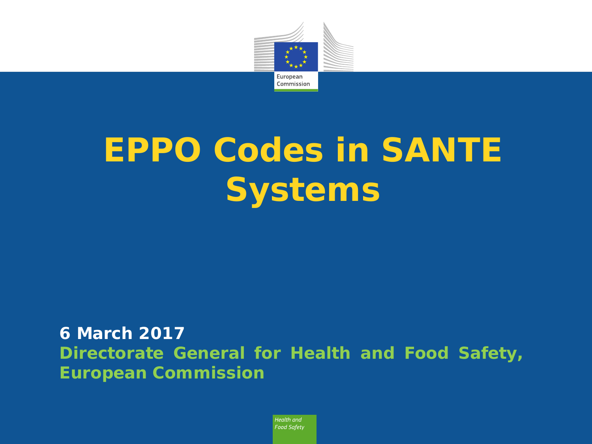

# **EPPO Codes in SANTE Systems**

#### **6 March 2017 Directorate General for Health and Food Safety, European Commission**

Health and **Food Safety**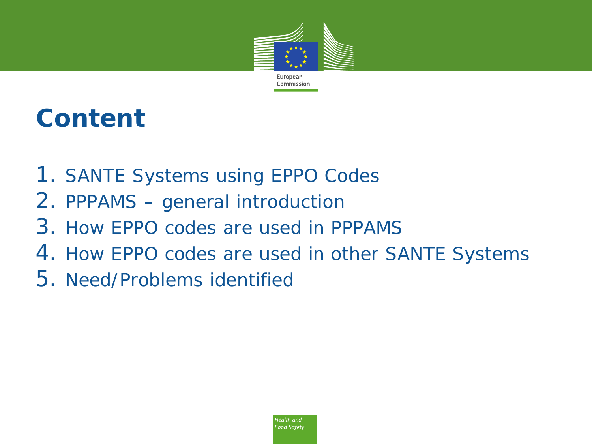

### **Content**

- 1. SANTE Systems using EPPO Codes
- 2. PPPAMS general introduction
- 3. How EPPO codes are used in PPPAMS
- 4. How EPPO codes are used in other SANTE Systems
- 5. Need/Problems identified

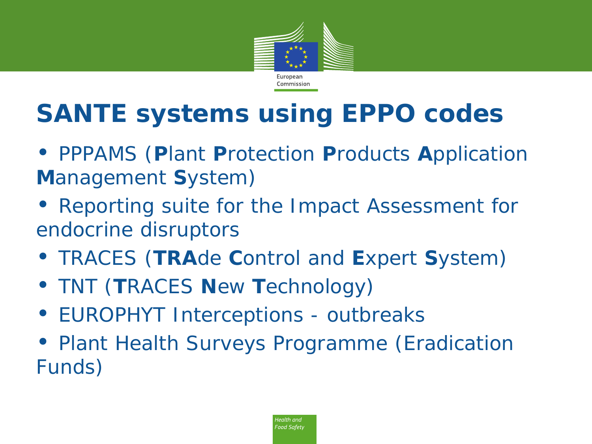

# **SANTE systems using EPPO codes**

- *PPPAMS (Plant Protection Products Application Management System)*
- *Reporting suite for the Impact Assessment for endocrine disruptors*
- *TRACES (TRAde Control and Expert System)*
- *TNT (TRACES New Technology)*
- *EUROPHYT Interceptions - outbreaks*
- *Plant Health Surveys Programme (Eradication Funds)*

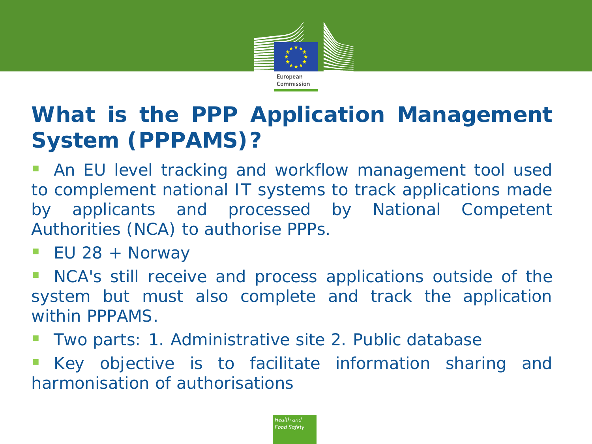

#### **What is the** *PPP Application Management System (PPPAMS)***?**

 An EU level tracking and workflow management tool used to complement national IT systems to track applications made by applicants and processed by National Competent Authorities (NCA) to authorise PPPs.

EU 28 + Norway

 NCA's still receive and process applications outside of the system but must also complete and track the application within PPPAMS.

Two parts: 1. Administrative site 2. Public database

 Key objective is to facilitate information sharing and harmonisation of authorisations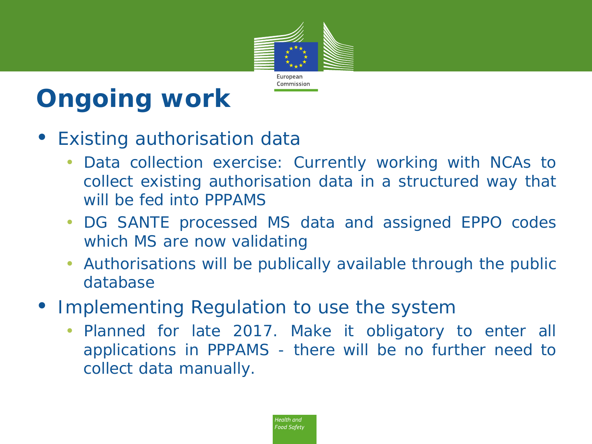

# **Ongoing work**

- *Existing authorisation data*
	- *Data collection exercise: Currently working with NCAs to collect existing authorisation data in a structured way that will be fed into PPPAMS*
	- *DG SANTE processed MS data and assigned EPPO codes which MS are now validating*
	- *Authorisations will be publically available through the public database*
- *Implementing Regulation to use the system*
	- *Planned for late 2017. Make it obligatory to enter all applications in PPPAMS - there will be no further need to collect data manually.*

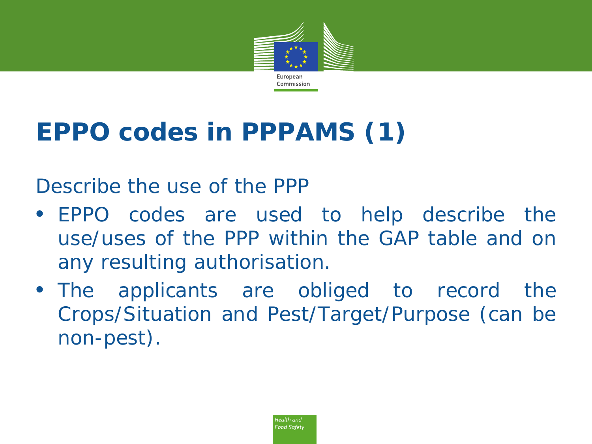

# **EPPO codes in PPPAMS (1)**

*Describe the use of the PPP*

- *EPPO codes are used to help describe the use/uses of the PPP within the GAP table and on any resulting authorisation.*
- *The applicants are obliged to record the Crops/Situation and Pest/Target/Purpose (can be non-pest).*

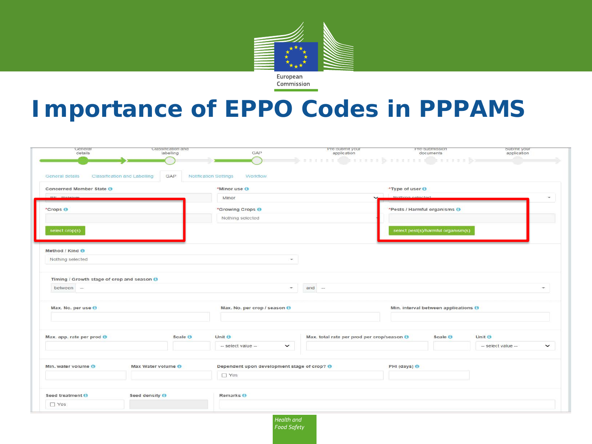

**Importance of EPPO Codes in PPPAMS**

|                                            | Classification and<br>labelling            | GAP                                             | Pre-submit your<br>application             | Pre-submission<br>documents          | Submit your<br>application       |
|--------------------------------------------|--------------------------------------------|-------------------------------------------------|--------------------------------------------|--------------------------------------|----------------------------------|
|                                            |                                            |                                                 | pera a a Corresponda a Correspo            |                                      |                                  |
| General details                            | <b>Classification and Labelling</b><br>GAP | <b>Notification Settings</b><br><b>Workflow</b> |                                            |                                      |                                  |
|                                            |                                            |                                                 |                                            |                                      |                                  |
| Concerned Member State O                   |                                            | *Minor use O                                    |                                            | *Type of user O                      |                                  |
| ne ma                                      |                                            | Minor                                           |                                            | Nothing polected                     |                                  |
| *Crops <sup>®</sup>                        |                                            | *Growing Crops <sup>@</sup>                     |                                            | *Pests / Harmful organisms O         |                                  |
|                                            |                                            | Nothing selected                                |                                            |                                      |                                  |
| select crop(s)                             |                                            |                                                 |                                            | select pest(s)/harmful organism(s)   |                                  |
|                                            |                                            |                                                 |                                            |                                      |                                  |
| Method / Kind                              |                                            |                                                 |                                            |                                      |                                  |
| Nothing selected                           |                                            |                                                 | v.                                         |                                      |                                  |
|                                            |                                            |                                                 |                                            |                                      |                                  |
|                                            |                                            |                                                 |                                            |                                      |                                  |
|                                            |                                            |                                                 |                                            |                                      |                                  |
| Timing / Growth stage of crop and season O |                                            |                                                 |                                            |                                      |                                  |
| between -                                  |                                            |                                                 | $and -$<br>$\sim$                          |                                      |                                  |
|                                            |                                            |                                                 |                                            |                                      |                                  |
| Max. No. per use O                         |                                            | Max. No. per crop / season O                    |                                            | Min. interval between applications @ |                                  |
|                                            |                                            |                                                 |                                            |                                      |                                  |
|                                            |                                            |                                                 |                                            |                                      |                                  |
| Max. app. rate per prod ®                  | Scale <sup>O</sup>                         | Unit O                                          | Max. total rate per prod per crop/season O | Scale O                              | Unit ®                           |
|                                            |                                            | -- select value --<br>$\checkmark$              |                                            |                                      | - select value -<br>$\checkmark$ |
|                                            |                                            |                                                 |                                            |                                      |                                  |
| Min. water volume O                        | Max Water volume O                         | Dependent upon development stage of crop? @     |                                            | PHI (days) <sup>6</sup>              |                                  |
|                                            |                                            | $\Box$ Yes                                      |                                            |                                      |                                  |
|                                            |                                            |                                                 |                                            |                                      |                                  |
| Seed treatment O<br>$\Box$ Yes             | Seed density <b>O</b>                      | Remarks <sup>O</sup>                            |                                            |                                      |                                  |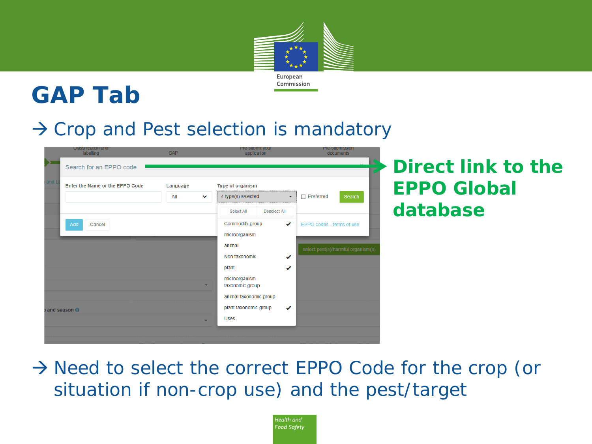

#### **GAP Tab**

#### $\rightarrow$  Crop and Pest selection is mandatory

|                     | Classification and<br>labelling<br>Search for an EPPO code | <b>GAP</b>               | Fre-submit your<br>application                 | <b>PIE-SUDINISSION</b><br>documents | Direct link to the |
|---------------------|------------------------------------------------------------|--------------------------|------------------------------------------------|-------------------------------------|--------------------|
| and                 | Enter the Name or the EPPO Code                            | Language                 | Type of organism                               |                                     | <b>EPPO Global</b> |
|                     |                                                            | All<br>$\checkmark$      | 4 type(s) selected<br>$\overline{\phantom{a}}$ | $\Box$ Preferred<br>Search          |                    |
|                     |                                                            |                          | Deselect All<br>Select All                     |                                     | database           |
|                     | Cancel<br>Add                                              |                          | Commodity group<br>✔                           | EPPO codes - terms of use           |                    |
|                     |                                                            |                          | microorganism                                  |                                     |                    |
|                     |                                                            |                          | animal                                         | select pest(s)/harmful organism(s)  |                    |
|                     |                                                            |                          | Non taxonomic<br>✔                             |                                     |                    |
|                     |                                                            |                          | plant<br>✔                                     |                                     |                    |
|                     |                                                            | ۰                        | microorganism<br>taxonomic group               |                                     |                    |
|                     |                                                            |                          | animal taxonomic group                         |                                     |                    |
| and season <b>O</b> |                                                            |                          | plant taxonomic group<br>✔                     |                                     |                    |
|                     |                                                            | $\overline{\phantom{a}}$ | <b>Uses</b>                                    |                                     |                    |
|                     |                                                            |                          |                                                |                                     |                    |

 $\rightarrow$  Need to select the correct EPPO Code for the crop (or situation if non-crop use) and the pest/target

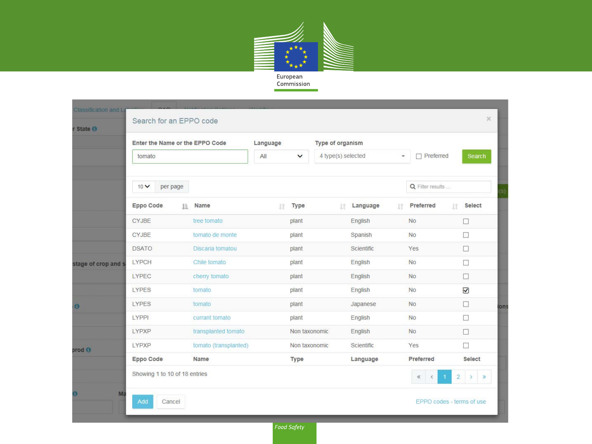

Commission  $\overline{\phantom{0}}$ 

| r State O           | Search for an EPPO code         |     |                              |    |                          |   |                  |    |                           |                     |                             |
|---------------------|---------------------------------|-----|------------------------------|----|--------------------------|---|------------------|----|---------------------------|---------------------|-----------------------------|
|                     | Enter the Name or the EPPO Code |     | Type of organism<br>Language |    |                          |   |                  |    |                           |                     |                             |
|                     | tomato<br>10V<br>per page       |     | All<br>$\checkmark$          |    | 4 type(s) selected<br>¥. |   | $\Box$ Preferred |    | Search                    |                     |                             |
|                     |                                 |     |                              |    |                          |   | Q Filter results |    |                           |                     |                             |
|                     | Eppo Code                       | Ii. | Name                         | 1Ť | Type                     | 计 | Language         | 1Ť | Preferred                 | 11                  | <b>Select</b>               |
|                     | <b>CYJBE</b>                    |     | tree tomato                  |    | plant                    |   | English          |    | <b>No</b>                 |                     | □                           |
|                     | <b>CYJBE</b>                    |     | tomato de monte              |    | plant                    |   | Spanish          |    | <b>No</b>                 |                     | □                           |
|                     | <b>DSATO</b>                    |     | Discaria tomatou             |    | plant                    |   | Scientific       |    | Yes                       |                     | $\Box$                      |
| stage of crop and s | <b>LYPCH</b>                    |     | Chile tomato                 |    | plant                    |   | English          |    | <b>No</b>                 |                     | □                           |
|                     | LYPEC                           |     | cherry tomato                |    | plant                    |   | English          |    | <b>No</b>                 |                     | $\Box$                      |
|                     | <b>LYPES</b>                    |     | tomato                       |    | plant                    |   | English          |    | <b>No</b>                 |                     | $\overline{\mathbf{y}}$     |
| <b>O</b>            | LYPES                           |     | tomato                       |    | plant                    |   | Japanese         |    | <b>No</b>                 |                     | $\Box$                      |
|                     | LYPPI                           |     | currant tomato               |    | plant                    |   | English          |    | <b>No</b>                 |                     | $\mathcal{L}_{\mathcal{A}}$ |
|                     | LYPXP                           |     | transplanted tomato          |    | Non taxonomic            |   | English          |    | <b>No</b>                 |                     | $\Box$                      |
| prod <b>O</b>       | LYPXP                           |     | tomato (transplanted)        |    | Non taxonomic            |   | Scientific       |    | Yes                       |                     | П                           |
|                     | Eppo Code                       |     | <b>Name</b>                  |    | <b>Type</b>              |   | Language         |    | Preferred                 |                     | Select                      |
|                     | Showing 1 to 10 of 18 entries   |     |                              |    |                          |   |                  |    | $\langle$<br>$\ll$        | $\overline{2}$<br>1 | $\rightarrow$<br>$\gg$      |
| Ma                  | Add<br>Cancel                   |     |                              |    |                          |   |                  |    | EPPO codes - terms of use |                     |                             |

Food Safety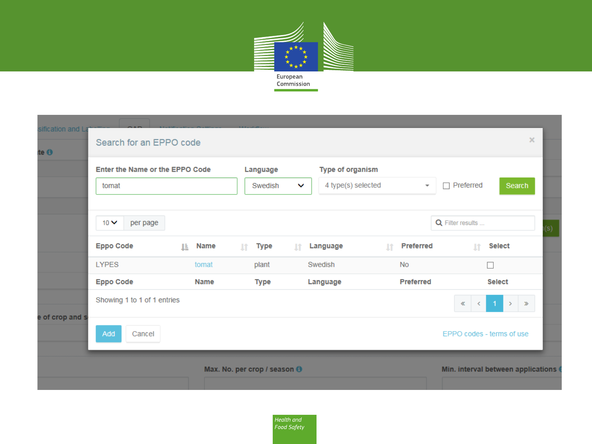

| sification and La |                                        |                  |                              |                                    |                               |                           |                                    |     |
|-------------------|----------------------------------------|------------------|------------------------------|------------------------------------|-------------------------------|---------------------------|------------------------------------|-----|
| ite $\mathbf 0$   | Search for an EPPO code                |                  |                              |                                    |                               |                           | $\times$                           |     |
|                   | <b>Enter the Name or the EPPO Code</b> |                  | Language                     | <b>Type of organism</b>            |                               |                           |                                    |     |
|                   | tomat                                  |                  | Swedish                      | 4 type(s) selected<br>$\checkmark$ | $\overline{\phantom{a}}$      | $\Box$ Preferred          | Search                             |     |
|                   |                                        |                  |                              |                                    |                               |                           |                                    |     |
|                   | $10 \vee$<br>per page                  |                  |                              |                                    |                               | Q Filter results          |                                    | (s) |
|                   | <b>Eppo Code</b>                       | <b>Name</b><br>Ŀ | Type<br>T.                   | Language<br><b>It</b>              | <b>Preferred</b><br><b>Lt</b> | <b>It</b>                 | <b>Select</b>                      |     |
|                   | <b>LYPES</b>                           | tomat            | plant                        | Swedish                            | <b>No</b>                     |                           | Г                                  |     |
|                   | <b>Eppo Code</b>                       | <b>Name</b>      | <b>Type</b>                  | Language                           | <b>Preferred</b>              |                           | <b>Select</b>                      |     |
| e of crop and s   | Showing 1 to 1 of 1 entries            |                  |                              |                                    |                               | ≪                         | $\rightarrow$<br>$\gg$             |     |
|                   | Add<br>Cancel                          |                  |                              |                                    |                               | EPPO codes - terms of use |                                    |     |
|                   |                                        |                  | Max. No. per crop / season ® |                                    |                               |                           | Min. interval between applications |     |

Health and Food Safety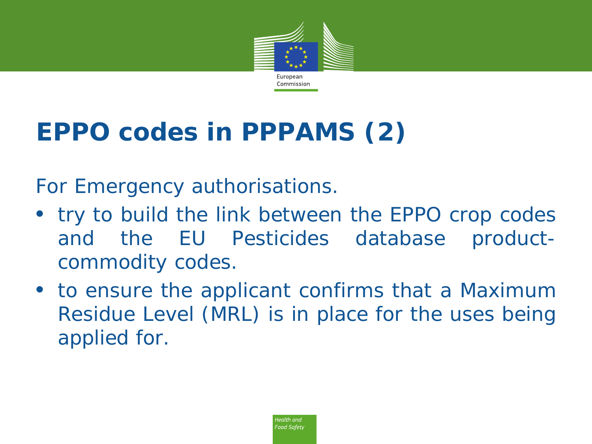

# **EPPO codes in PPPAMS (2)**

*For Emergency authorisations.*

- *try to build the link between the EPPO crop codes and the EU Pesticides database productcommodity codes.*
- *to ensure the applicant confirms that a Maximum Residue Level (MRL) is in place for the uses being applied for.*

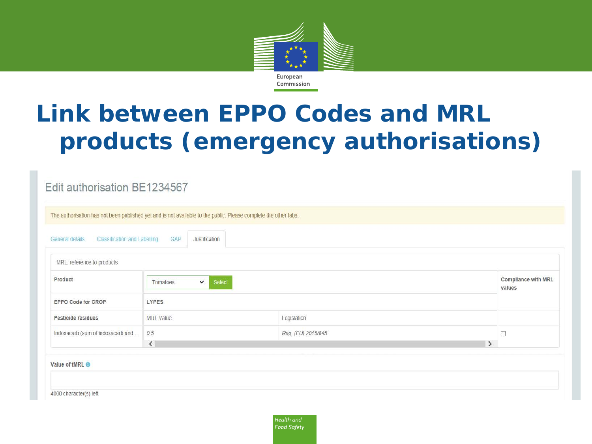

#### **Link between EPPO Codes and MRL products (emergency authorisations)**

|                                                 | The authorisation has not been published yet and is not available to the public. Please complete the other tabs. |                                      |        |
|-------------------------------------------------|------------------------------------------------------------------------------------------------------------------|--------------------------------------|--------|
| Classification and Labelling<br>General details | GAP<br>Justification                                                                                             |                                      |        |
| MRL: reference to products                      |                                                                                                                  |                                      |        |
| Product                                         | $\checkmark$<br>Select<br>Tomatoes                                                                               | <b>Compliance with MRL</b><br>values |        |
| EPPO Code for CROP                              | <b>LYPES</b>                                                                                                     |                                      |        |
| Pesticide residues                              | <b>MRL</b> Value                                                                                                 | Legislation                          |        |
| Indoxacarb (sum of indoxacarb and               | 0.5                                                                                                              | Reg. (EU) 2015/845                   | $\Box$ |
|                                                 | $\langle$                                                                                                        | $\rightarrow$                        |        |

Health and Food Safety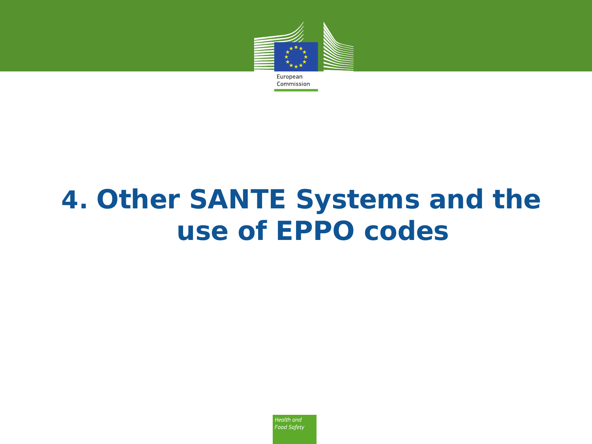

# **4. Other SANTE Systems and the use of EPPO codes**

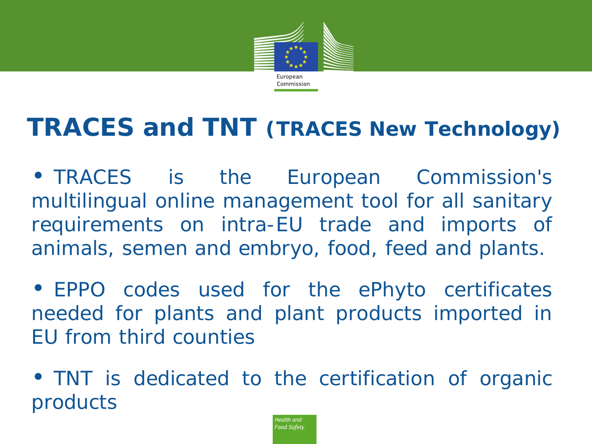

### **TRACES and TNT (TRACES New Technology)**

• *TRACES is the European Commission's multilingual online management tool for all sanitary requirements on intra-EU trade and imports of animals, semen and embryo, food, feed and plants.*

• *EPPO codes used for the ePhyto certificates needed for plants and plant products imported in EU from third counties*

• *TNT is dedicated to the certification of organic products*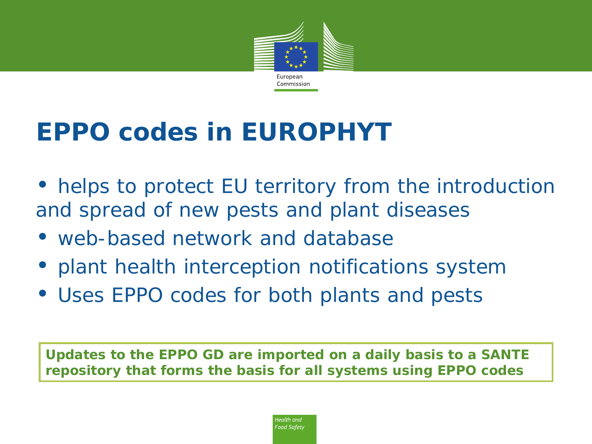

### **EPPO codes in EUROPHYT**

- helps to protect EU territory from the introduction and spread of new pests and plant diseases
- web-based network and database
- plant health interception notifications system
- Uses EPPO codes for both plants and pests

**Updates to the EPPO GD are imported on a daily basis to a SANTE repository that forms the basis for all systems using EPPO codes**

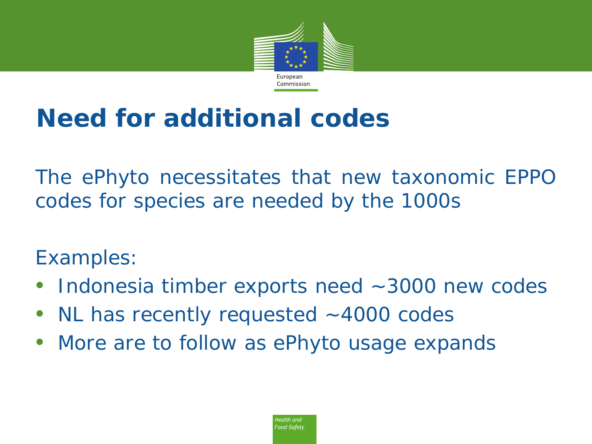

### **Need for additional codes**

*The ePhyto necessitates that new taxonomic EPPO codes for species are needed by the 1000s*

#### *Examples:*

- *Indonesia timber exports need ~3000 new codes*
- *NL has recently requested ~4000 codes*
- *More are to follow as ePhyto usage expands*

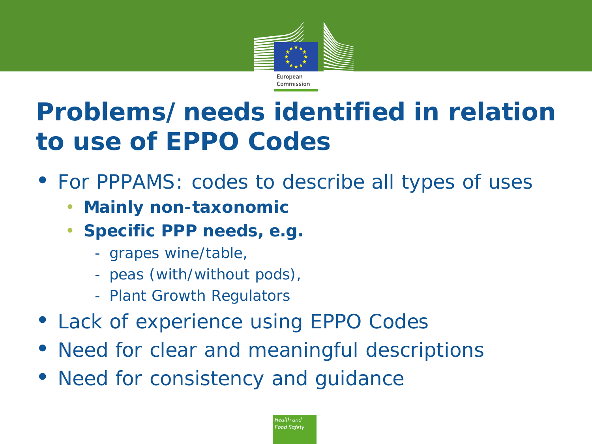

# **Problems/needs identified in relation to use of EPPO Codes**

- *For PPPAMS: codes to describe all types of uses*
	- **Mainly non-taxonomic**
	- **Specific PPP needs, e.g.**
		- grapes wine/table,
		- peas (with/without pods),
		- Plant Growth Regulators
- *Lack of experience using EPPO Codes*
- *Need for clear and meaningful descriptions*
- *Need for consistency and guidance*